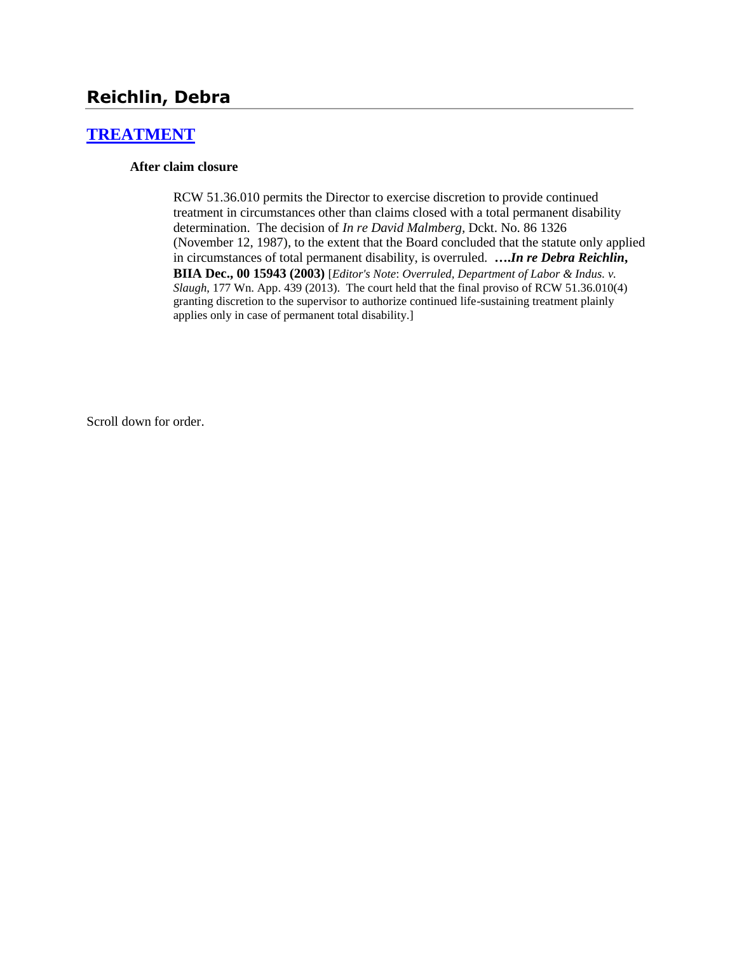# **Reichlin, Debra**

# **[TREATMENT](http://www.biia.wa.gov/SDSubjectIndex.html#TREATMENT)**

#### **After claim closure**

RCW 51.36.010 permits the Director to exercise discretion to provide continued treatment in circumstances other than claims closed with a total permanent disability determination. The decision of *In re David Malmberg,* Dckt. No. 86 1326 (November 12, 1987), to the extent that the Board concluded that the statute only applied in circumstances of total permanent disability, is overruled. **….***In re Debra Reichlin***, BIIA Dec., 00 15943 (2003)** [*Editor's Note*: *Overruled, Department of Labor & Indus. v. Slaugh*, 177 Wn. App. 439 (2013). The court held that the final proviso of RCW 51.36.010(4) granting discretion to the supervisor to authorize continued life-sustaining treatment plainly applies only in case of permanent total disability.]

Scroll down for order.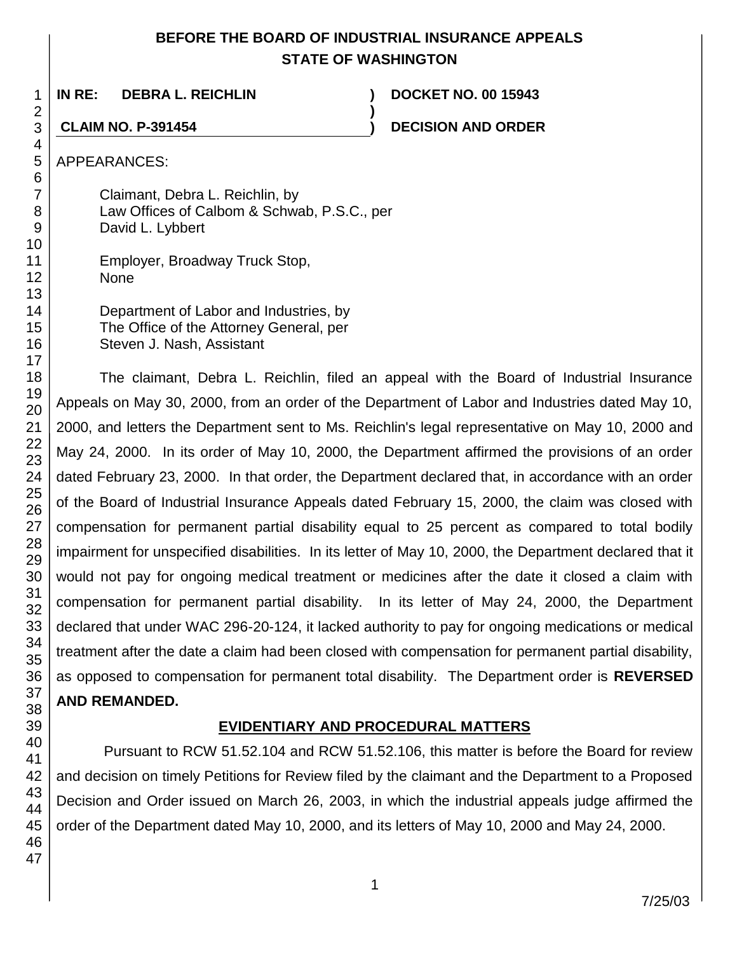# **BEFORE THE BOARD OF INDUSTRIAL INSURANCE APPEALS STATE OF WASHINGTON**

**)**

**IN RE: DEBRA L. REICHLIN ) DOCKET NO. 00 15943**

**CLAIM NO. P-391454 ) DECISION AND ORDER**

APPEARANCES:

Claimant, Debra L. Reichlin, by Law Offices of Calbom & Schwab, P.S.C., per David L. Lybbert

Employer, Broadway Truck Stop, None

Department of Labor and Industries, by The Office of the Attorney General, per Steven J. Nash, Assistant

The claimant, Debra L. Reichlin, filed an appeal with the Board of Industrial Insurance Appeals on May 30, 2000, from an order of the Department of Labor and Industries dated May 10, 2000, and letters the Department sent to Ms. Reichlin's legal representative on May 10, 2000 and May 24, 2000. In its order of May 10, 2000, the Department affirmed the provisions of an order dated February 23, 2000. In that order, the Department declared that, in accordance with an order of the Board of Industrial Insurance Appeals dated February 15, 2000, the claim was closed with compensation for permanent partial disability equal to 25 percent as compared to total bodily impairment for unspecified disabilities. In its letter of May 10, 2000, the Department declared that it would not pay for ongoing medical treatment or medicines after the date it closed a claim with compensation for permanent partial disability. In its letter of May 24, 2000, the Department declared that under WAC 296-20-124, it lacked authority to pay for ongoing medications or medical treatment after the date a claim had been closed with compensation for permanent partial disability, as opposed to compensation for permanent total disability. The Department order is **REVERSED AND REMANDED.**

# **EVIDENTIARY AND PROCEDURAL MATTERS**

Pursuant to RCW 51.52.104 and RCW 51.52.106, this matter is before the Board for review and decision on timely Petitions for Review filed by the claimant and the Department to a Proposed Decision and Order issued on March 26, 2003, in which the industrial appeals judge affirmed the order of the Department dated May 10, 2000, and its letters of May 10, 2000 and May 24, 2000.

1 2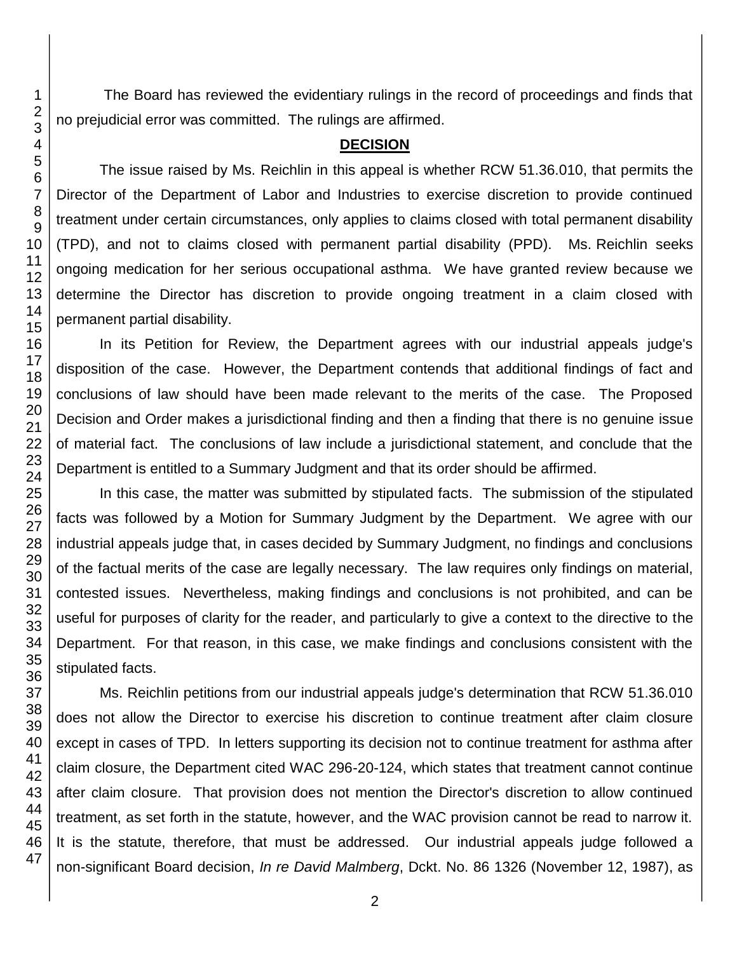The Board has reviewed the evidentiary rulings in the record of proceedings and finds that no prejudicial error was committed. The rulings are affirmed.

#### **DECISION**

The issue raised by Ms. Reichlin in this appeal is whether RCW 51.36.010, that permits the Director of the Department of Labor and Industries to exercise discretion to provide continued treatment under certain circumstances, only applies to claims closed with total permanent disability (TPD), and not to claims closed with permanent partial disability (PPD). Ms. Reichlin seeks ongoing medication for her serious occupational asthma. We have granted review because we determine the Director has discretion to provide ongoing treatment in a claim closed with permanent partial disability.

In its Petition for Review, the Department agrees with our industrial appeals judge's disposition of the case. However, the Department contends that additional findings of fact and conclusions of law should have been made relevant to the merits of the case. The Proposed Decision and Order makes a jurisdictional finding and then a finding that there is no genuine issue of material fact. The conclusions of law include a jurisdictional statement, and conclude that the Department is entitled to a Summary Judgment and that its order should be affirmed.

In this case, the matter was submitted by stipulated facts. The submission of the stipulated facts was followed by a Motion for Summary Judgment by the Department. We agree with our industrial appeals judge that, in cases decided by Summary Judgment, no findings and conclusions of the factual merits of the case are legally necessary. The law requires only findings on material, contested issues. Nevertheless, making findings and conclusions is not prohibited, and can be useful for purposes of clarity for the reader, and particularly to give a context to the directive to the Department. For that reason, in this case, we make findings and conclusions consistent with the stipulated facts.

Ms. Reichlin petitions from our industrial appeals judge's determination that RCW 51.36.010 does not allow the Director to exercise his discretion to continue treatment after claim closure except in cases of TPD. In letters supporting its decision not to continue treatment for asthma after claim closure, the Department cited WAC 296-20-124, which states that treatment cannot continue after claim closure. That provision does not mention the Director's discretion to allow continued treatment, as set forth in the statute, however, and the WAC provision cannot be read to narrow it. It is the statute, therefore, that must be addressed. Our industrial appeals judge followed a non-significant Board decision, *In re David Malmberg*, Dckt. No. 86 1326 (November 12, 1987), as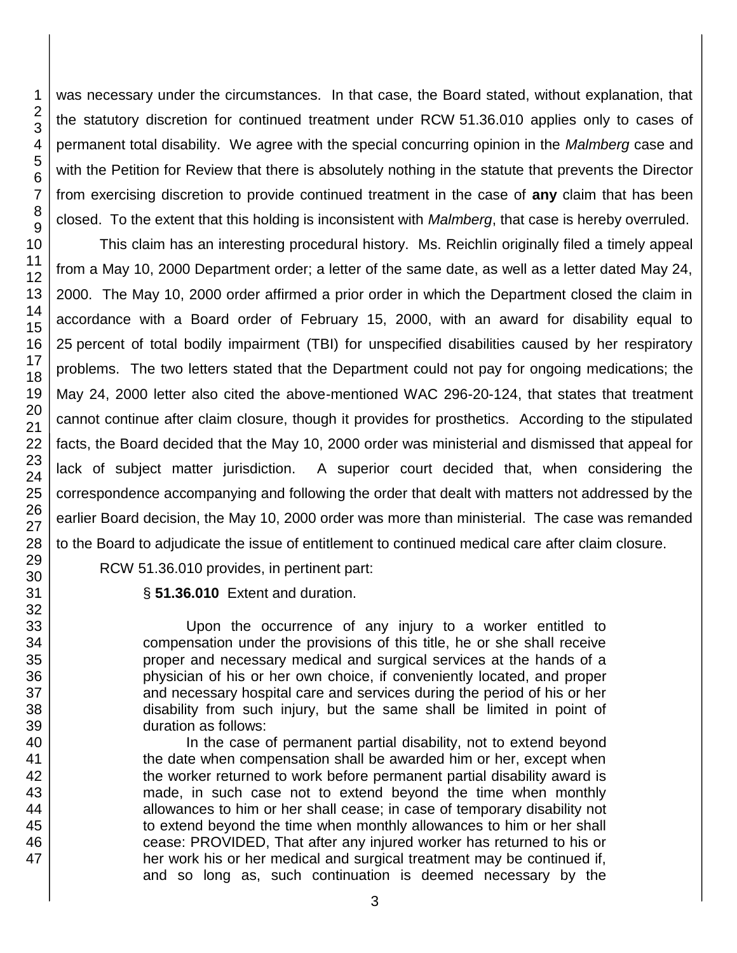47

was necessary under the circumstances. In that case, the Board stated, without explanation, that the statutory discretion for continued treatment under RCW 51.36.010 applies only to cases of permanent total disability. We agree with the special concurring opinion in the *Malmberg* case and with the Petition for Review that there is absolutely nothing in the statute that prevents the Director from exercising discretion to provide continued treatment in the case of **any** claim that has been closed. To the extent that this holding is inconsistent with *Malmberg*, that case is hereby overruled.

This claim has an interesting procedural history. Ms. Reichlin originally filed a timely appeal from a May 10, 2000 Department order; a letter of the same date, as well as a letter dated May 24, 2000. The May 10, 2000 order affirmed a prior order in which the Department closed the claim in accordance with a Board order of February 15, 2000, with an award for disability equal to 25 percent of total bodily impairment (TBI) for unspecified disabilities caused by her respiratory problems. The two letters stated that the Department could not pay for ongoing medications; the May 24, 2000 letter also cited the above-mentioned WAC 296-20-124, that states that treatment cannot continue after claim closure, though it provides for prosthetics. According to the stipulated facts, the Board decided that the May 10, 2000 order was ministerial and dismissed that appeal for lack of subject matter jurisdiction. A superior court decided that, when considering the correspondence accompanying and following the order that dealt with matters not addressed by the earlier Board decision, the May 10, 2000 order was more than ministerial. The case was remanded to the Board to adjudicate the issue of entitlement to continued medical care after claim closure.

RCW 51.36.010 provides, in pertinent part:

§ **51.36.010** Extent and duration.

Upon the occurrence of any injury to a worker entitled to compensation under the provisions of this title, he or she shall receive proper and necessary medical and surgical services at the hands of a physician of his or her own choice, if conveniently located, and proper and necessary hospital care and services during the period of his or her disability from such injury, but the same shall be limited in point of duration as follows:

In the case of permanent partial disability, not to extend beyond the date when compensation shall be awarded him or her, except when the worker returned to work before permanent partial disability award is made, in such case not to extend beyond the time when monthly allowances to him or her shall cease; in case of temporary disability not to extend beyond the time when monthly allowances to him or her shall cease: PROVIDED, That after any injured worker has returned to his or her work his or her medical and surgical treatment may be continued if, and so long as, such continuation is deemed necessary by the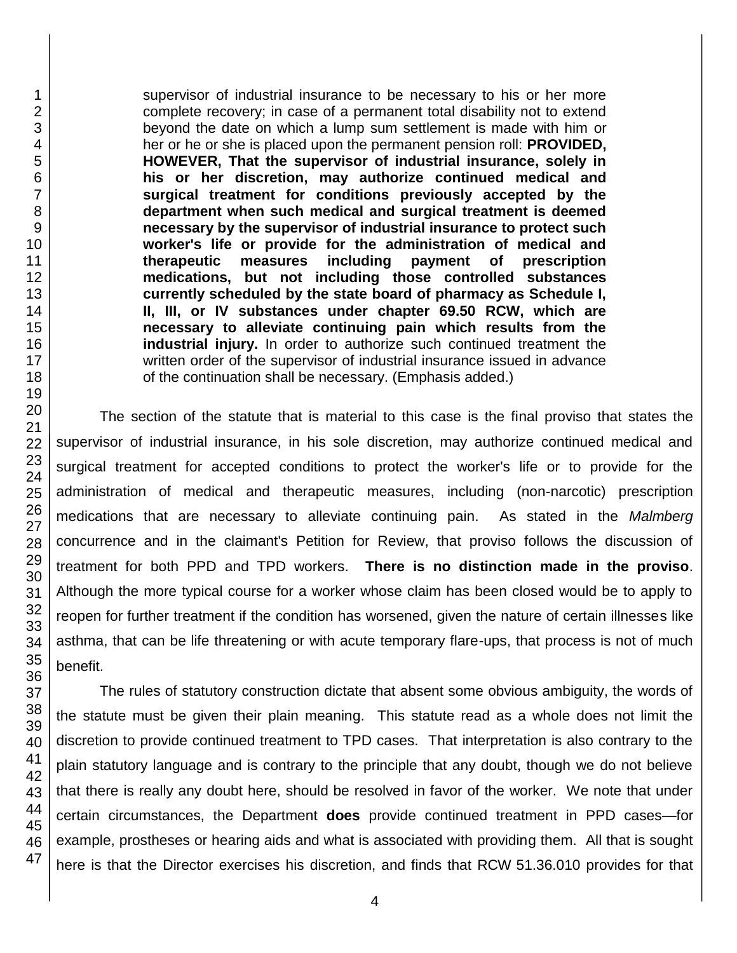supervisor of industrial insurance to be necessary to his or her more complete recovery; in case of a permanent total disability not to extend beyond the date on which a lump sum settlement is made with him or her or he or she is placed upon the permanent pension roll: **PROVIDED, HOWEVER, That the supervisor of industrial insurance, solely in his or her discretion, may authorize continued medical and surgical treatment for conditions previously accepted by the department when such medical and surgical treatment is deemed necessary by the supervisor of industrial insurance to protect such worker's life or provide for the administration of medical and therapeutic measures including payment of prescription medications, but not including those controlled substances currently scheduled by the state board of pharmacy as Schedule I, II, III, or IV substances under chapter 69.50 RCW, which are necessary to alleviate continuing pain which results from the industrial injury.** In order to authorize such continued treatment the written order of the supervisor of industrial insurance issued in advance of the continuation shall be necessary. (Emphasis added.)

The section of the statute that is material to this case is the final proviso that states the supervisor of industrial insurance, in his sole discretion, may authorize continued medical and surgical treatment for accepted conditions to protect the worker's life or to provide for the administration of medical and therapeutic measures, including (non-narcotic) prescription medications that are necessary to alleviate continuing pain. As stated in the *Malmberg* concurrence and in the claimant's Petition for Review, that proviso follows the discussion of treatment for both PPD and TPD workers. **There is no distinction made in the proviso**. Although the more typical course for a worker whose claim has been closed would be to apply to reopen for further treatment if the condition has worsened, given the nature of certain illnesses like asthma, that can be life threatening or with acute temporary flare-ups, that process is not of much benefit.

The rules of statutory construction dictate that absent some obvious ambiguity, the words of the statute must be given their plain meaning. This statute read as a whole does not limit the discretion to provide continued treatment to TPD cases. That interpretation is also contrary to the plain statutory language and is contrary to the principle that any doubt, though we do not believe that there is really any doubt here, should be resolved in favor of the worker. We note that under certain circumstances, the Department **does** provide continued treatment in PPD cases—for example, prostheses or hearing aids and what is associated with providing them. All that is sought here is that the Director exercises his discretion, and finds that RCW 51.36.010 provides for that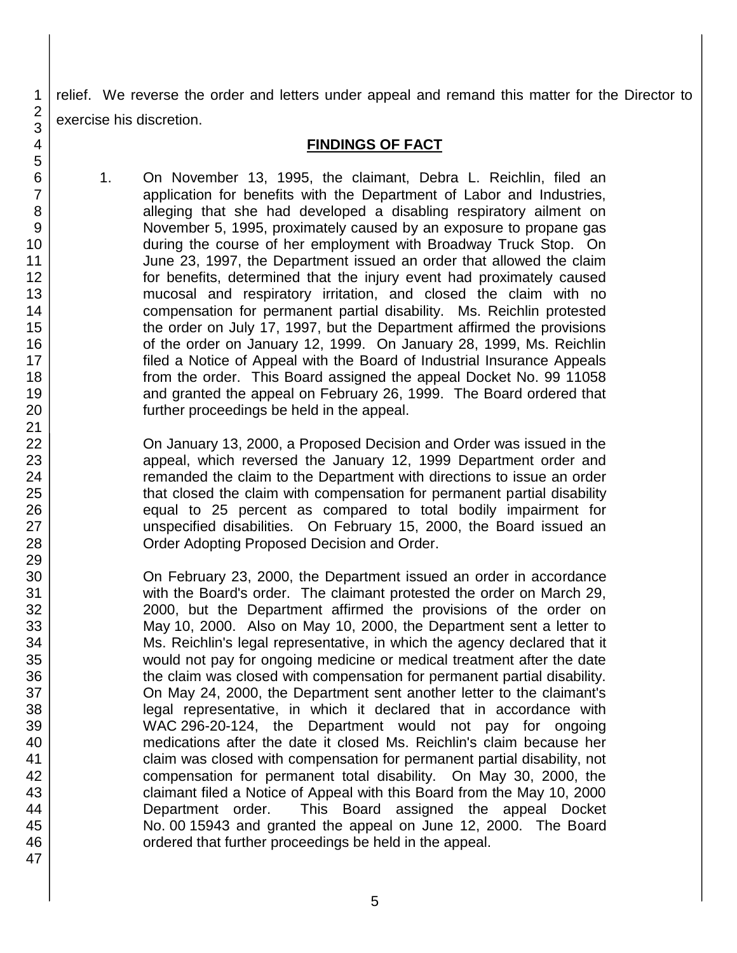relief. We reverse the order and letters under appeal and remand this matter for the Director to exercise his discretion.

# **FINDINGS OF FACT**

1. On November 13, 1995, the claimant, Debra L. Reichlin, filed an application for benefits with the Department of Labor and Industries, alleging that she had developed a disabling respiratory ailment on November 5, 1995, proximately caused by an exposure to propane gas during the course of her employment with Broadway Truck Stop. On June 23, 1997, the Department issued an order that allowed the claim for benefits, determined that the injury event had proximately caused mucosal and respiratory irritation, and closed the claim with no compensation for permanent partial disability. Ms. Reichlin protested the order on July 17, 1997, but the Department affirmed the provisions of the order on January 12, 1999. On January 28, 1999, Ms. Reichlin filed a Notice of Appeal with the Board of Industrial Insurance Appeals from the order. This Board assigned the appeal Docket No. 99 11058 and granted the appeal on February 26, 1999. The Board ordered that further proceedings be held in the appeal.

On January 13, 2000, a Proposed Decision and Order was issued in the appeal, which reversed the January 12, 1999 Department order and remanded the claim to the Department with directions to issue an order that closed the claim with compensation for permanent partial disability equal to 25 percent as compared to total bodily impairment for unspecified disabilities. On February 15, 2000, the Board issued an Order Adopting Proposed Decision and Order.

On February 23, 2000, the Department issued an order in accordance with the Board's order. The claimant protested the order on March 29, 2000, but the Department affirmed the provisions of the order on May 10, 2000. Also on May 10, 2000, the Department sent a letter to Ms. Reichlin's legal representative, in which the agency declared that it would not pay for ongoing medicine or medical treatment after the date the claim was closed with compensation for permanent partial disability. On May 24, 2000, the Department sent another letter to the claimant's legal representative, in which it declared that in accordance with WAC 296-20-124, the Department would not pay for ongoing medications after the date it closed Ms. Reichlin's claim because her claim was closed with compensation for permanent partial disability, not compensation for permanent total disability. On May 30, 2000, the claimant filed a Notice of Appeal with this Board from the May 10, 2000 Department order. This Board assigned the appeal Docket No. 00 15943 and granted the appeal on June 12, 2000. The Board ordered that further proceedings be held in the appeal.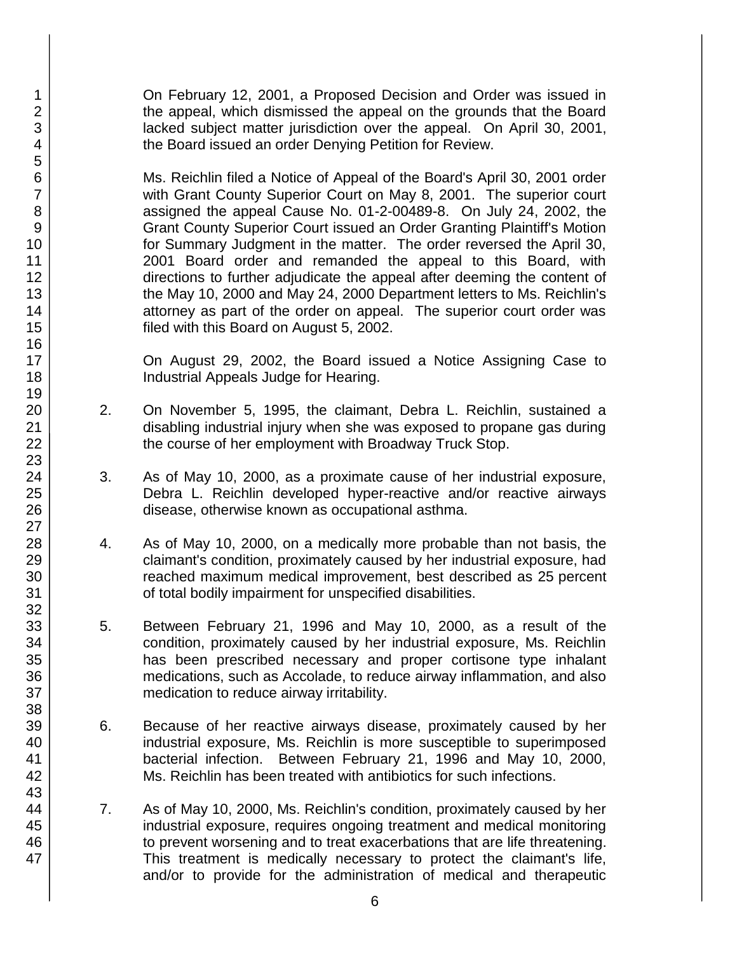On February 12, 2001, a Proposed Decision and Order was issued in the appeal, which dismissed the appeal on the grounds that the Board lacked subject matter jurisdiction over the appeal. On April 30, 2001, the Board issued an order Denying Petition for Review.

Ms. Reichlin filed a Notice of Appeal of the Board's April 30, 2001 order with Grant County Superior Court on May 8, 2001. The superior court assigned the appeal Cause No. 01-2-00489-8. On July 24, 2002, the Grant County Superior Court issued an Order Granting Plaintiff's Motion for Summary Judgment in the matter. The order reversed the April 30, 2001 Board order and remanded the appeal to this Board, with directions to further adjudicate the appeal after deeming the content of the May 10, 2000 and May 24, 2000 Department letters to Ms. Reichlin's attorney as part of the order on appeal. The superior court order was filed with this Board on August 5, 2002.

On August 29, 2002, the Board issued a Notice Assigning Case to Industrial Appeals Judge for Hearing.

- 2. On November 5, 1995, the claimant, Debra L. Reichlin, sustained a disabling industrial injury when she was exposed to propane gas during the course of her employment with Broadway Truck Stop.
- 3. As of May 10, 2000, as a proximate cause of her industrial exposure, Debra L. Reichlin developed hyper-reactive and/or reactive airways disease, otherwise known as occupational asthma.
- 4. As of May 10, 2000, on a medically more probable than not basis, the claimant's condition, proximately caused by her industrial exposure, had reached maximum medical improvement, best described as 25 percent of total bodily impairment for unspecified disabilities.
- 5. Between February 21, 1996 and May 10, 2000, as a result of the condition, proximately caused by her industrial exposure, Ms. Reichlin has been prescribed necessary and proper cortisone type inhalant medications, such as Accolade, to reduce airway inflammation, and also medication to reduce airway irritability.
- 6. Because of her reactive airways disease, proximately caused by her industrial exposure, Ms. Reichlin is more susceptible to superimposed bacterial infection. Between February 21, 1996 and May 10, 2000, Ms. Reichlin has been treated with antibiotics for such infections.
- 7. As of May 10, 2000, Ms. Reichlin's condition, proximately caused by her industrial exposure, requires ongoing treatment and medical monitoring to prevent worsening and to treat exacerbations that are life threatening. This treatment is medically necessary to protect the claimant's life, and/or to provide for the administration of medical and therapeutic

47

1